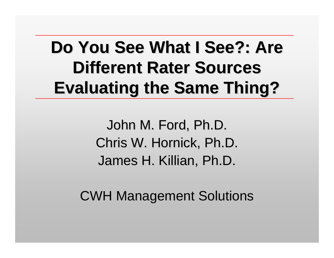#### **Do You See What I See?: Are Different Rater Sources Evaluating the Same Thing?**

John M. Ford, Ph.D. Chris W. Hornick, Ph.D. James H. Killian, Ph.D.

**CWH Management Solutions**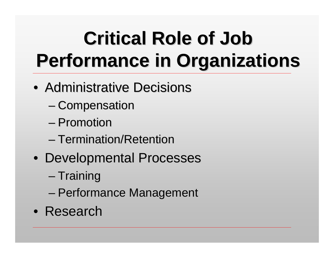# **Critical Role of Job Critical Role of Job Performance in Organizations Performance in Organizations**

- Administrative Decisions
	- –– Compensation
	- –– Promotion
	- –- Termination/Retention
- Developmental Processes
	- –– Training
	- –– Performance Management
- Research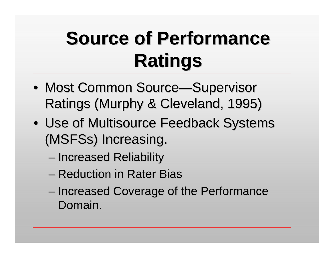## **Source of Performance Ratings Ratings**

- Most Common Source—Supervisor Ratings (Murphy & Cleveland, 1995) Ratings (Murphy & Cleveland, 1995)
- Use of Multisource Feedback Systems (MSFSs) Increasing.
	- –– Increased Reliability
	- –– Reduction in Rater Bias
	- –– Increased Coverage of the Performance Domain.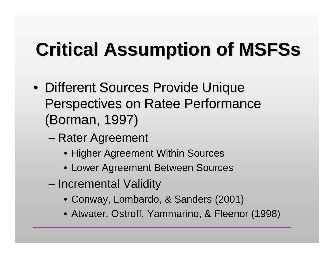# **Critical Assumption of MSFSs Critical Assumption of MSFSs**

- Different Sources Provide Unique Perspectives on Ratee Performance (Borman, 1997) (Borman, 1997)
	- –– Rater Agreement
		- Higher Agreement Within Sources
		- Lower Agreement Between Sources
	- –– Incremental Validity
		- Conway, Lombardo, & Sanders (2001)
		- Atwater, Ostroff, Yammarino, & Fleenor (1998)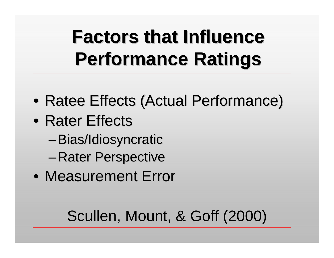## **Factors that Influence Performance Ratings Performance Ratings**

- Ratee Effects (Actual Performance)
- Rater Effects
	- Bias/Idiosyncratic
	- –– Rater Perspective
- Measurement Error

#### Scullen, Mount, & Goff (2000)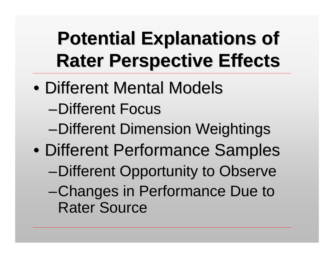## **Potential Explanations of Potential Explanations of Rater Perspective Effects Rater Perspective Effects**

- $\bullet$ • Different Mental Models
	- –Different Focus
	- $-Differential$  Dimension Weightings
- $\bullet$ • Different Performance Samples
	- –Different Opportunity to Observe
	- –Changes in Performance Due to Changes in Performance Due to Rater Source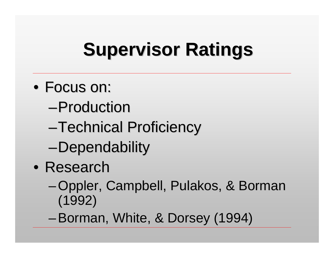## **Supervisor Ratings Supervisor Ratings**

- Focus on:
	- –Production
	- –Technical Proficiency Technical Proficiency
	- –Dependability
- Research
	- Oppler, Campbell, Pulakos, & Borman (1992)
	- –Borman, White, & Dorsey (1994)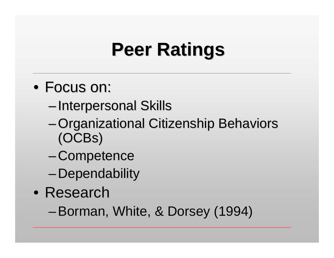## **Peer Ratings Peer Ratings**

#### • Focus on:

- –– Interpersonal Skills
- Organizational Citizenship Behaviors (OCBs )
- –- Competence
- –– Dependability
- Research

–Borman, White, & Dorsey (1994)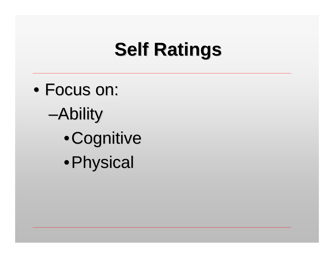## **Self Ratings**

 $\bullet$ • Focus on: –Ability • Cognitive • Physical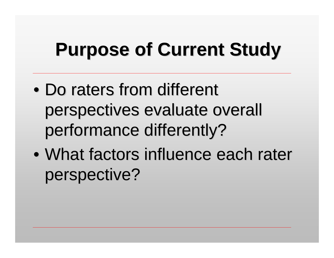## **Purpose of Current Study Purpose of Current Study**

- $\bullet$ • Do raters from different perspectives evaluate overall perspectives evaluate overall performance differently?
- $\bullet$ • What factors influence each rater perspective?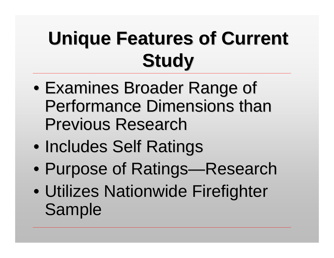## **Unique Features of Current Study**

- $\bullet$ • Examines Broader Range of Performance Dimensions than **Previous Research**
- $\bullet$ • Includes Self Ratings
- $\bullet$ • Purpose of Ratings—Research
- $\bullet$ • Utilizes Nationwide Firefighter Sample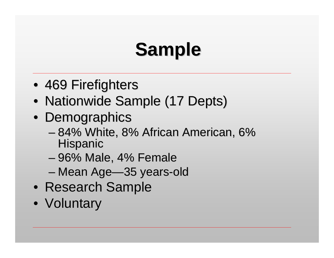# **Sample**

- 469 Firefighters
- Nationwide Sample (17 Depts)
- Demographics
	- –– 84% White, 8% African American, 6% Hispanic
	- –– 96% Male, 4% Female
	- –– Mean Age—35 years-old
- Research Sample
- Voluntary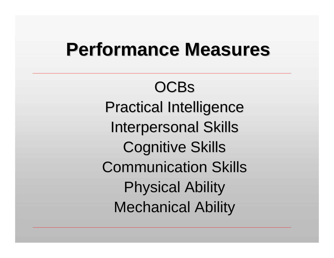#### **Performance Measures Performance Measures**

**OCBs Practical Intelligence Interpersonal Skills Cognitive Skills** Communication Skills Communication Skills Physical Ability Physical Ability **Mechanical Ability**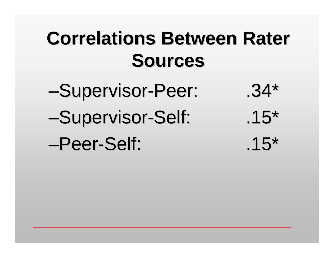## **Correlations Between Rater Sources Sources**

-Supervisor-Peer: 0.34\* –Supervisor Supervisor -Self: .15\* –Peer -Self: .15\*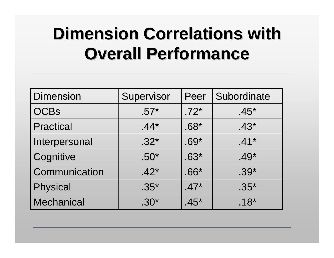#### **Dimension Correlations with Overall Performance Overall Performance**

| <b>Dimension</b>  | Supervisor | Peer   | Subordinate |
|-------------------|------------|--------|-------------|
| <b>OCBs</b>       | $.57*$     | $.72*$ | $.45*$      |
| <b>Practical</b>  | $.44*$     | $.68*$ | $.43*$      |
| Interpersonal     | $.32*$     | $.69*$ | $.41*$      |
| Cognitive         | $.50*$     | $.63*$ | $.49*$      |
| Communication     | $.42*$     | $.66*$ | $.39*$      |
| <b>Physical</b>   | $.35^*$    | $.47*$ | $.35*$      |
| <b>Mechanical</b> | $.30*$     | $.45*$ | $.18*$      |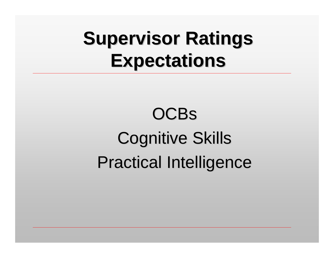## **Supervisor Ratings Expectations Expectations**

## **OCBs Cognitive Skills** Practical Intelligence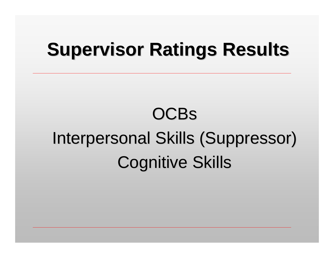#### **Supervisor Ratings Results**

## **OCBs** Interpersonal Skills (Suppressor) Cognitive Skills Cognitive Skills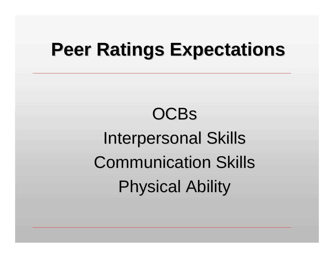#### **Peer Ratings Expectations Peer Ratings Expectations**

## **OCBs Interpersonal Skills** Communication Skills Communication Skills Physical Ability Physical Ability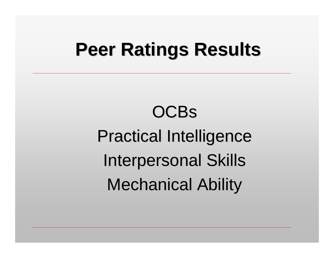#### **Peer Ratings Results Peer Ratings Results**

## **OCBs** Practical Intelligence Practical Intelligence **Interpersonal Skills Mechanical Ability**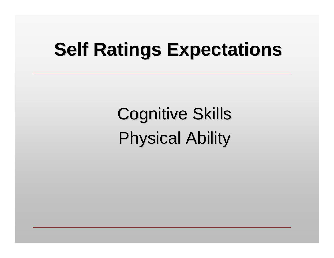### **Self Ratings Expectations**

**Cognitive Skills Physical Ability**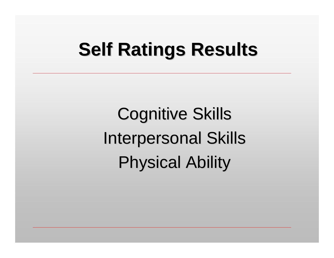### **Self Ratings Results Self Ratings Results**

**Cognitive Skills Interpersonal Skills Physical Ability**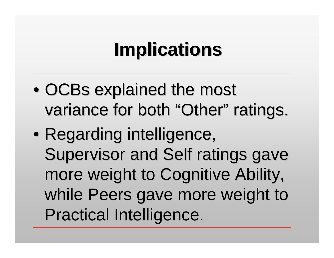## **Implications Implications**

- $\bullet$ • OCBs explained the most variance for both "Other" ratings.
- $\bullet$ • Regarding intelligence, Supervisor and Self ratings gave more weight to Cognitive Ability, more weight to Cognitive Ability, while Peers gave more weight to Practical Intelligence. Practical Intelligence.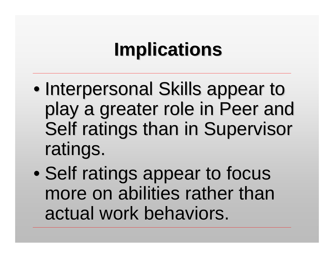## **Implications Implications**

- $\bullet$ • Interpersonal Skills appear to play a greater role in Peer and Self ratings than in Supervisor ratings.
- $\bullet$ • Self ratings appear to focus more on abilities rather than actual work behaviors.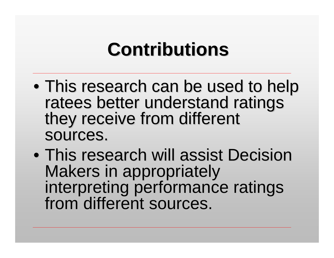## **Contributions Contributions**

- $\bullet$ • This research can be used to help<br>ratees better understand ratings<br>they receive from different sources.
- $\bullet$ • This research will assist Decision Makers in appropriately<br>interpreting performance ratings<br>from different sources.